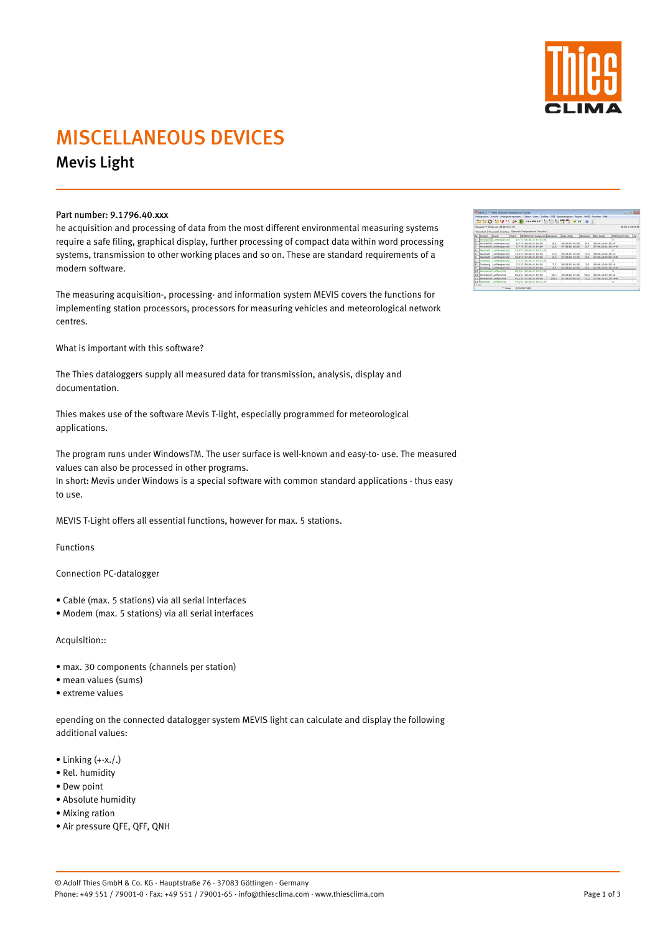

# MISCELLANEOUS DEVICES

Mevis Light

### Part number: 9.1796.40.xxx

he acquisition and processing of data from the most different environmental measuring systems require a safe filing, graphical display, further processing of compact data within word processing systems, transmission to other working places and so on. These are standard requirements of a modern software.

The measuring acquisition-, processing- and information system MEVIS covers the functions for implementing station processors, processors for measuring vehicles and meteorological network centres.

What is important with this software?

The Thies dataloggers supply all measured data for transmission, analysis, display and documentation.

Thies makes use of the software Mevis T-light, especially programmed for meteorological applications.

- $\bullet$  Linking  $(+x.$ .
- Rel. humidity
- Dew point
- Absolute humidity
- Mixing ration
- Air pressure QFE, QFF, QNH

The program runs under WindowsTM. The user surface is well-known and easy-to- use. The measured values can also be processed in other programs.

In short: Mevis under Windows is a special software with common standard applications - thus easy to use.

MEVIS T-Light offers all essential functions, however for max. 5 stations.

Functions

Connection PC-datalogger

- Cable (max. 5 stations) via all serial interfaces
- Modem (max. 5 stations) via all serial interfaces

Acquisition::

- max. 30 components (channels per station)
- mean values (sums)
- extreme values

|    | Neueste *** Wede von 28.06.10 14.10                          |  |                         |                           |        |                |      |                                                                   |  | 08.06.10 14.51.35 |  |
|----|--------------------------------------------------------------|--|-------------------------|---------------------------|--------|----------------|------|-------------------------------------------------------------------|--|-------------------|--|
|    | Westdeich Neustadt Grünberg Übersicht Temperaturind, Fauchte |  |                         |                           |        |                |      |                                                                   |  |                   |  |
|    | Nr. Stution Ranal                                            |  |                         |                           |        |                |      | Wert MillMittille betpunkt Maximum Max Zeitp. Minimum (Min Zeitp. |  | MAYON Was De      |  |
|    | Westdechlufttenperatur                                       |  |                         | 8.6 TC 08.06.10 14:51:39  |        |                |      |                                                                   |  |                   |  |
|    | Westdeich Lufttemperatur                                     |  | 8.5 °C 08.06.30 14:50   |                           | 8.5    | 08.06.10 14:50 | 6.5  | 08.06.50 54:50 10                                                 |  |                   |  |
|    | Westdeich Lufttamperatur                                     |  | P. F. NC 07-06-30 24:00 |                           | 13.8   | 07-06-10 15:30 | B.P  | 07.06.10 21:30 1440                                               |  |                   |  |
| ×  | Neustadt Lufttemperstur                                      |  |                         | 15.5 °C 08.06.30 14:51:30 |        |                |      |                                                                   |  |                   |  |
| ĸ  | Neustadt Lufttamparatur                                      |  | 15.5 °C 08.06.10 14:50  |                           | 15.8   | 08.06.10 14:50 | 15,6 | 08.06.10 14:50 10                                                 |  |                   |  |
|    | Noustadt Lufttemperatur                                      |  | 98.9 °C 07.06.99 24:00  |                           | $15-2$ | 07.06.10 13:10 | 5,6  | 07.06.10 24:00 1440                                               |  |                   |  |
|    | Grünberg Lufttamperatur                                      |  |                         | 7.3 °C 08.06.10 14:51:30  |        |                |      |                                                                   |  |                   |  |
| ×  | Grünberg Lufthamperatur                                      |  | 7.3 °C 08.06.10 14:50   |                           | 3.3    | 08.06.10 14:50 | 3.0  | 08.06.10 14:50 10                                                 |  |                   |  |
| ×  | Gronberg Lufthamperatur                                      |  | 2.0 °C 07.06.30 24:00   |                           | 4.4    | 07.06.10 13:40 | 弘登   | 07.06.10.06.10.1440                                               |  |                   |  |
| 10 | Westdech Luftfeuchte                                         |  |                         | 96.3% 08.06.10 14:51:30   |        |                |      |                                                                   |  |                   |  |
| m  | WreshBeich Luftfleuchile                                     |  | 96.2% 08.06.30 14.50    |                           | 96.4   | 08.06.10 14.50 | 96.0 | 08.06.10 14:50 10                                                 |  |                   |  |
|    | 12 WreshBeich Luftfleuchde                                   |  | 93.1% 07.06.10 24:00    |                           | 100.0  | 07.06.10 00:10 | 71.2 | 07.06.10 15:20 1440                                               |  |                   |  |
|    | 13 Neustadt Luftfeuchte                                      |  |                         | 44.2% 08.06.30 14:51:39   |        |                |      |                                                                   |  |                   |  |

**Current model Service** 

epending on the connected datalogger system MEVIS light can calculate and display the following additional values:

© Adolf Thies GmbH & Co. KG · Hauptstraße 76 · 37083 Göttingen · Germany Phone: +49 551 / 79001-0 · Fax: +49 551 / 79001-65 · info@thiesclima.com · www.thiesclima.com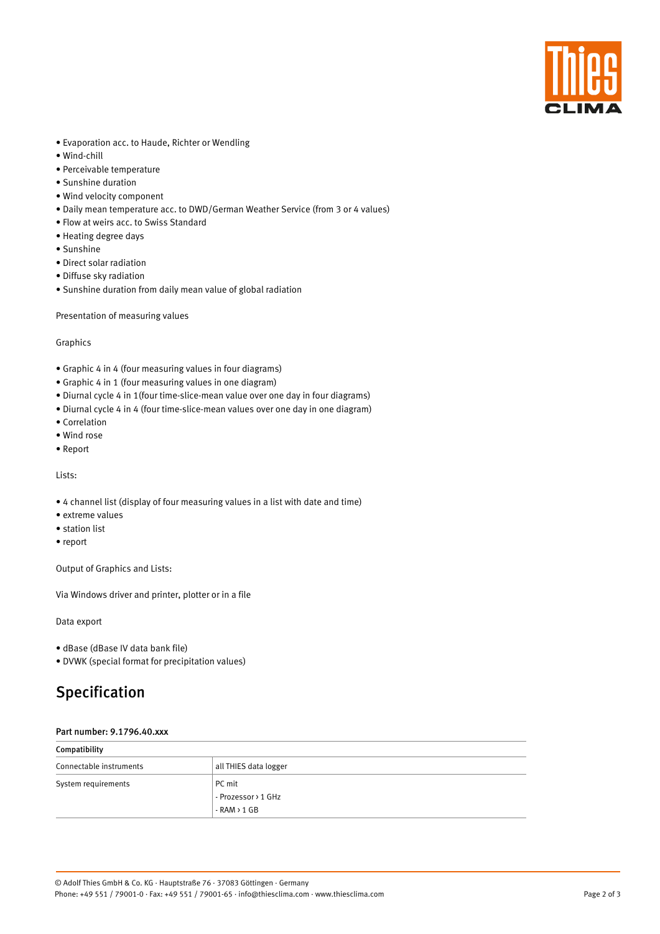

- Evaporation acc. to Haude, Richter or Wendling
- Wind-chill
- Perceivable temperature
- Sunshine duration
- Wind velocity component
- Daily mean temperature acc. to DWD/German Weather Service (from 3 or 4 values)
- Flow at weirs acc. to Swiss Standard
- Heating degree days
- Sunshine
- Direct solar radiation
- Diffuse sky radiation
- Sunshine duration from daily mean value of global radiation

Presentation of measuring values

#### Graphics

- Graphic 4 in 4 (four measuring values in four diagrams)
- Graphic 4 in 1 (four measuring values in one diagram)
- Diurnal cycle 4 in 1(four time-slice-mean value over one day in four diagrams)
- Diurnal cycle 4 in 4 (four time-slice-mean values over one day in one diagram)
- Correlation
- Wind rose
- Report

Lists:

- 4 channel list (display of four measuring values in a list with date and time)
- extreme values
- station list
- report

Output of Graphics and Lists:

Via Windows driver and printer, plotter or in a file

Data export

- dBase (dBase IV data bank file)
- DVWK (special format for precipitation values)

### Specification

#### Part number: 9.1796.40.xxx

| Compatibility           |                       |  |  |  |
|-------------------------|-----------------------|--|--|--|
| Connectable instruments | all THIES data logger |  |  |  |
| System requirements     | PC mit                |  |  |  |
|                         | - Prozessor > 1 GHz   |  |  |  |
|                         | $-RAM > 1 GB$         |  |  |  |

Page 2 of 3

© Adolf Thies GmbH & Co. KG · Hauptstraße 76 · 37083 Göttingen · Germany Phone: +49 551 / 79001-0 · Fax: +49 551 / 79001-65 · info@thiesclima.com · www.thiesclima.com